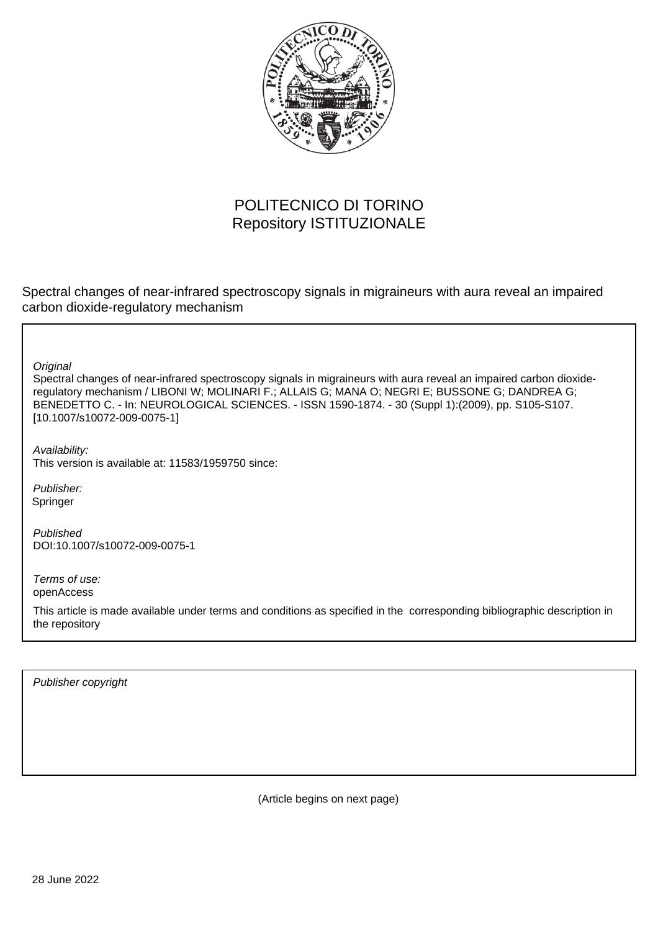

# POLITECNICO DI TORINO Repository ISTITUZIONALE

Spectral changes of near-infrared spectroscopy signals in migraineurs with aura reveal an impaired carbon dioxide-regulatory mechanism

**Original** 

Spectral changes of near-infrared spectroscopy signals in migraineurs with aura reveal an impaired carbon dioxideregulatory mechanism / LIBONI W; MOLINARI F.; ALLAIS G; MANA O; NEGRI E; BUSSONE G; DANDREA G; BENEDETTO C. - In: NEUROLOGICAL SCIENCES. - ISSN 1590-1874. - 30 (Suppl 1):(2009), pp. S105-S107. [10.1007/s10072-009-0075-1]

Availability: This version is available at: 11583/1959750 since:

Publisher: Springer

Published DOI:10.1007/s10072-009-0075-1

Terms of use: openAccess

This article is made available under terms and conditions as specified in the corresponding bibliographic description in the repository

Publisher copyright

(Article begins on next page)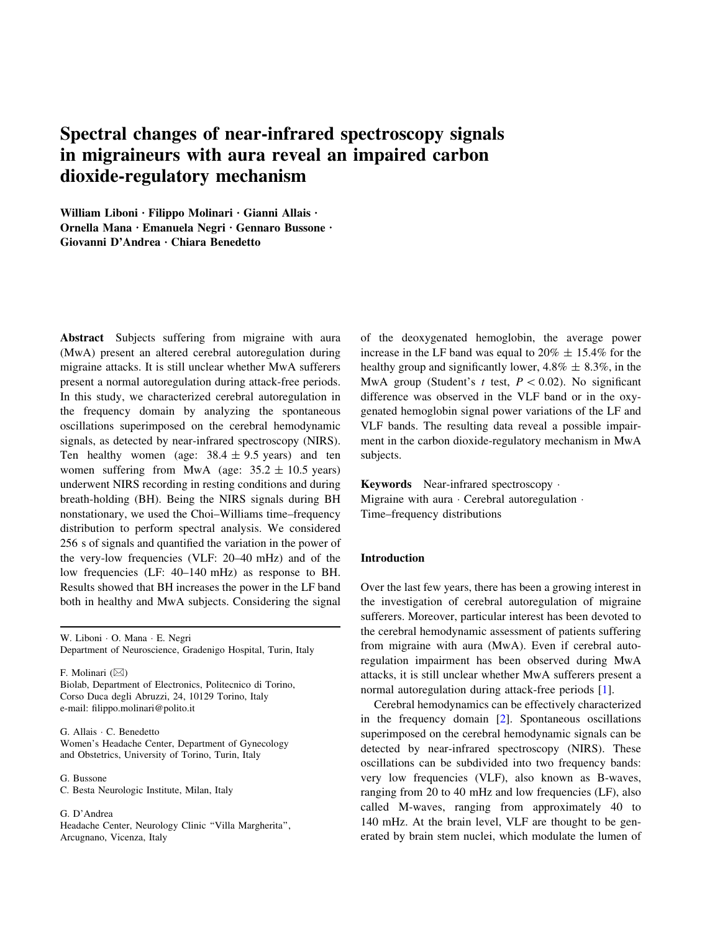# Spectral changes of near-infrared spectroscopy signals in migraineurs with aura reveal an impaired carbon dioxide-regulatory mechanism

William Liboni · Filippo Molinari · Gianni Allais · Ornella Mana · Emanuela Negri · Gennaro Bussone · Giovanni D'Andrea · Chiara Benedetto

Abstract Subjects suffering from migraine with aura (MwA) present an altered cerebral autoregulation during migraine attacks. It is still unclear whether MwA sufferers present a normal autoregulation during attack-free periods. In this study, we characterized cerebral autoregulation in the frequency domain by analyzing the spontaneous oscillations superimposed on the cerebral hemodynamic signals, as detected by near-infrared spectroscopy (NIRS). Ten healthy women (age:  $38.4 \pm 9.5$  years) and ten women suffering from MwA (age:  $35.2 \pm 10.5$  years) underwent NIRS recording in resting conditions and during breath-holding (BH). Being the NIRS signals during BH nonstationary, we used the Choi–Williams time–frequency distribution to perform spectral analysis. We considered 256 s of signals and quantified the variation in the power of the very-low frequencies (VLF: 20–40 mHz) and of the low frequencies (LF: 40–140 mHz) as response to BH. Results showed that BH increases the power in the LF band both in healthy and MwA subjects. Considering the signal

W. Liboni · O. Mana · E. Negri Department of Neuroscience, Gradenigo Hospital, Turin, Italy

F. Molinari  $(\boxtimes)$ Biolab, Department of Electronics, Politecnico di Torino, Corso Duca degli Abruzzi, 24, 10129 Torino, Italy e-mail: filippo.molinari@polito.it

G. Allais · C. Benedetto Women's Headache Center, Department of Gynecology and Obstetrics, University of Torino, Turin, Italy

G. Bussone C. Besta Neurologic Institute, Milan, Italy

G. D'Andrea Headache Center, Neurology Clinic ''Villa Margherita'', Arcugnano, Vicenza, Italy

of the deoxygenated hemoglobin, the average power increase in the LF band was equal to  $20\% \pm 15.4\%$  for the healthy group and significantly lower,  $4.8\% \pm 8.3\%$ , in the MwA group (Student's t test,  $P \lt 0.02$ ). No significant difference was observed in the VLF band or in the oxygenated hemoglobin signal power variations of the LF and VLF bands. The resulting data reveal a possible impairment in the carbon dioxide-regulatory mechanism in MwA subjects.

Keywords Near-infrared spectroscopy · Migraine with aura · Cerebral autoregulation · Time–frequency distributions

#### Introduction

Over the last few years, there has been a growing interest in the investigation of cerebral autoregulation of migraine sufferers. Moreover, particular interest has been devoted to the cerebral hemodynamic assessment of patients suffering from migraine with aura (MwA). Even if cerebral autoregulation impairment has been observed during MwA attacks, it is still unclear whether MwA sufferers present a normal autoregulation during attack-free periods [1].

Cerebral hemodynamics can be effectively characterized in the frequency domain [2]. Spontaneous oscillations superimposed on the cerebral hemodynamic signals can be detected by near-infrared spectroscopy (NIRS). These oscillations can be subdivided into two frequency bands: very low frequencies (VLF), also known as B-waves, ranging from 20 to 40 mHz and low frequencies (LF), also called M-waves, ranging from approximately 40 to 140 mHz. At the brain level, VLF are thought to be generated by brain stem nuclei, which modulate the lumen of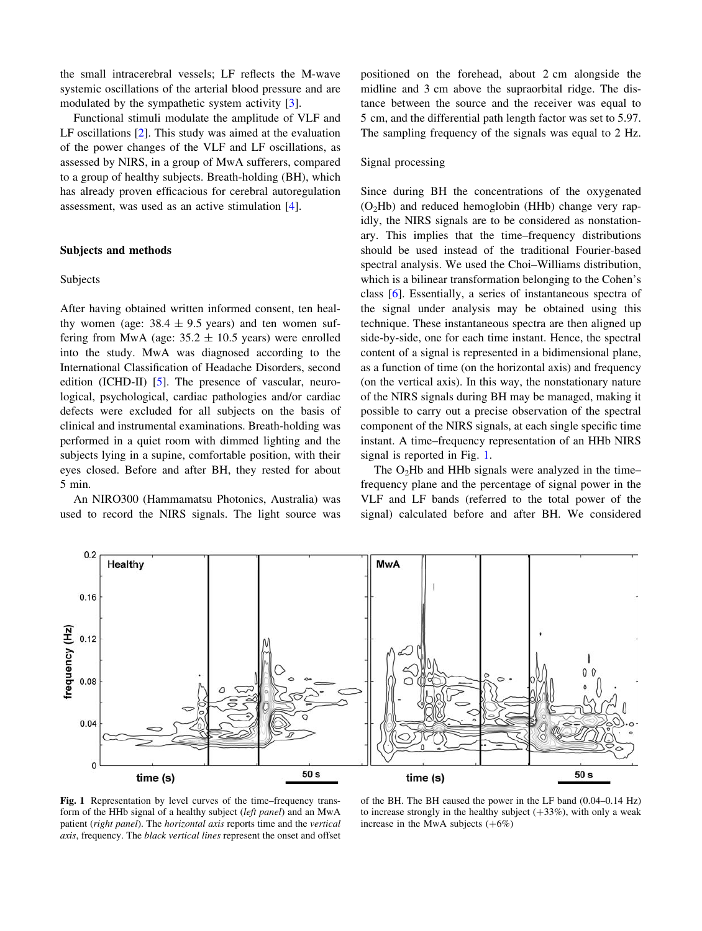the small intracerebral vessels; LF reflects the M-wave systemic oscillations of the arterial blood pressure and are modulated by the sympathetic system activity [3].

Functional stimuli modulate the amplitude of VLF and LF oscillations [2]. This study was aimed at the evaluation of the power changes of the VLF and LF oscillations, as assessed by NIRS, in a group of MwA sufferers, compared to a group of healthy subjects. Breath-holding (BH), which has already proven efficacious for cerebral autoregulation assessment, was used as an active stimulation [4].

### Subjects and methods

#### Subjects

After having obtained written informed consent, ten healthy women (age:  $38.4 \pm 9.5$  years) and ten women suffering from MwA (age:  $35.2 \pm 10.5$  years) were enrolled into the study. MwA was diagnosed according to the International Classification of Headache Disorders, second edition (ICHD-II) [5]. The presence of vascular, neurological, psychological, cardiac pathologies and/or cardiac defects were excluded for all subjects on the basis of clinical and instrumental examinations. Breath-holding was performed in a quiet room with dimmed lighting and the subjects lying in a supine, comfortable position, with their eyes closed. Before and after BH, they rested for about 5 min.

An NIRO300 (Hammamatsu Photonics, Australia) was used to record the NIRS signals. The light source was positioned on the forehead, about 2 cm alongside the midline and 3 cm above the supraorbital ridge. The distance between the source and the receiver was equal to 5 cm, and the differential path length factor was set to 5.97. The sampling frequency of the signals was equal to 2 Hz.

## Signal processing

Since during BH the concentrations of the oxygenated  $(O<sub>2</sub>Hb)$  and reduced hemoglobin (HHb) change very rapidly, the NIRS signals are to be considered as nonstationary. This implies that the time–frequency distributions should be used instead of the traditional Fourier-based spectral analysis. We used the Choi–Williams distribution, which is a bilinear transformation belonging to the Cohen's class [6]. Essentially, a series of instantaneous spectra of the signal under analysis may be obtained using this technique. These instantaneous spectra are then aligned up side-by-side, one for each time instant. Hence, the spectral content of a signal is represented in a bidimensional plane, as a function of time (on the horizontal axis) and frequency (on the vertical axis). In this way, the nonstationary nature of the NIRS signals during BH may be managed, making it possible to carry out a precise observation of the spectral component of the NIRS signals, at each single specific time instant. A time–frequency representation of an HHb NIRS signal is reported in Fig. 1.

The  $O<sub>2</sub>Hb$  and HHb signals were analyzed in the time– frequency plane and the percentage of signal power in the VLF and LF bands (referred to the total power of the signal) calculated before and after BH. We considered



Fig. 1 Representation by level curves of the time–frequency transform of the HHb signal of a healthy subject (left panel) and an MwA patient (right panel). The horizontal axis reports time and the vertical axis, frequency. The black vertical lines represent the onset and offset

of the BH. The BH caused the power in the LF band (0.04–0.14 Hz) to increase strongly in the healthy subject  $(+33%)$ , with only a weak increase in the MwA subjects  $(+6%)$